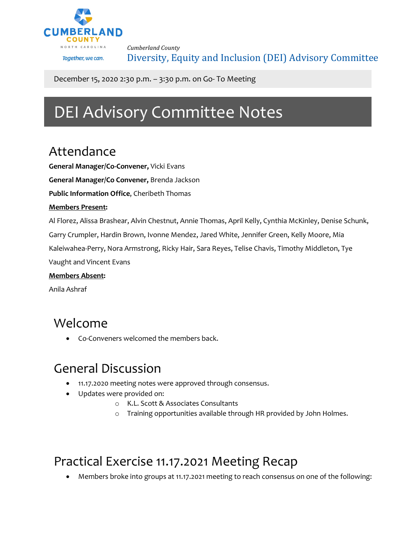

*Cumberland County* Diversity, Equity and Inclusion (DEI) Advisory Committee

December 15, 2020 2:30 p.m. – 3:30 p.m. on Go- To Meeting

# DEI Advisory Committee Notes

#### Attendance

**General Manager/Co-Convener,** Vicki Evans

**General Manager/Co Convener,** Brenda Jackson

**Public Information Office**, Cheribeth Thomas

#### **Members Present:**

Al Florez, Alissa Brashear, Alvin Chestnut, Annie Thomas, April Kelly, Cynthia McKinley, Denise Schunk, Garry Crumpler, Hardin Brown, Ivonne Mendez, Jared White, Jennifer Green, Kelly Moore, Mia Kaleiwahea-Perry, Nora Armstrong, Ricky Hair, Sara Reyes, Telise Chavis, Timothy Middleton, Tye Vaught and Vincent Evans

#### **Members Absent:**

Anila Ashraf

#### Welcome

• Co-Conveners welcomed the members back.

### General Discussion

- 11.17.2020 meeting notes were approved through consensus.
- Updates were provided on:
	- o K.L. Scott & Associates Consultants
	- o Training opportunities available through HR provided by John Holmes.

### Practical Exercise 11.17.2021 Meeting Recap

• Members broke into groups at 11.17.2021 meeting to reach consensus on one of the following: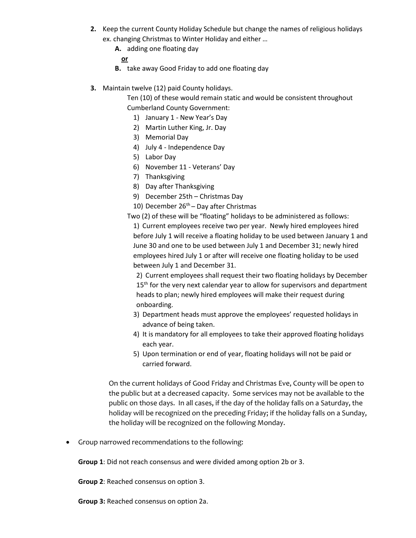- **2.** Keep the current County Holiday Schedule but change the names of religious holidays ex. changing Christmas to Winter Holiday and either …
	- **A.** adding one floating day

**or** 

- **B.** take away Good Friday to add one floating day
- **3.** Maintain twelve (12) paid County holidays.

Ten (10) of these would remain static and would be consistent throughout Cumberland County Government:

- 1) January 1 New Year's Day
- 2) Martin Luther King, Jr. Day
- 3) Memorial Day
- 4) July 4 Independence Day
- 5) Labor Day
- 6) November 11 Veterans' Day
- 7) Thanksgiving
- 8) Day after Thanksgiving
- 9) December 25th Christmas Day
- 10) December  $26<sup>th</sup>$  Day after Christmas
- Two (2) of these will be "floating" holidays to be administered as follows:

1) Current employees receive two per year. Newly hired employees hired before July 1 will receive a floating holiday to be used between January 1 and June 30 and one to be used between July 1 and December 31; newly hired employees hired July 1 or after will receive one floating holiday to be used between July 1 and December 31.

2) Current employees shall request their two floating holidays by December 15<sup>th</sup> for the very next calendar year to allow for supervisors and department heads to plan; newly hired employees will make their request during onboarding.

- 3) Department heads must approve the employees' requested holidays in advance of being taken.
- 4) It is mandatory for all employees to take their approved floating holidays each year.
- 5) Upon termination or end of year, floating holidays will not be paid or carried forward.

On the current holidays of Good Friday and Christmas Eve, County will be open to the public but at a decreased capacity. Some services may not be available to the public on those days. In all cases, if the day of the holiday falls on a Saturday, the holiday will be recognized on the preceding Friday; if the holiday falls on a Sunday, the holiday will be recognized on the following Monday.

• Group narrowed recommendations to the following:

**Group 1**: Did not reach consensus and were divided among option 2b or 3.

**Group 2**: Reached consensus on option 3.

**Group 3:** Reached consensus on option 2a.